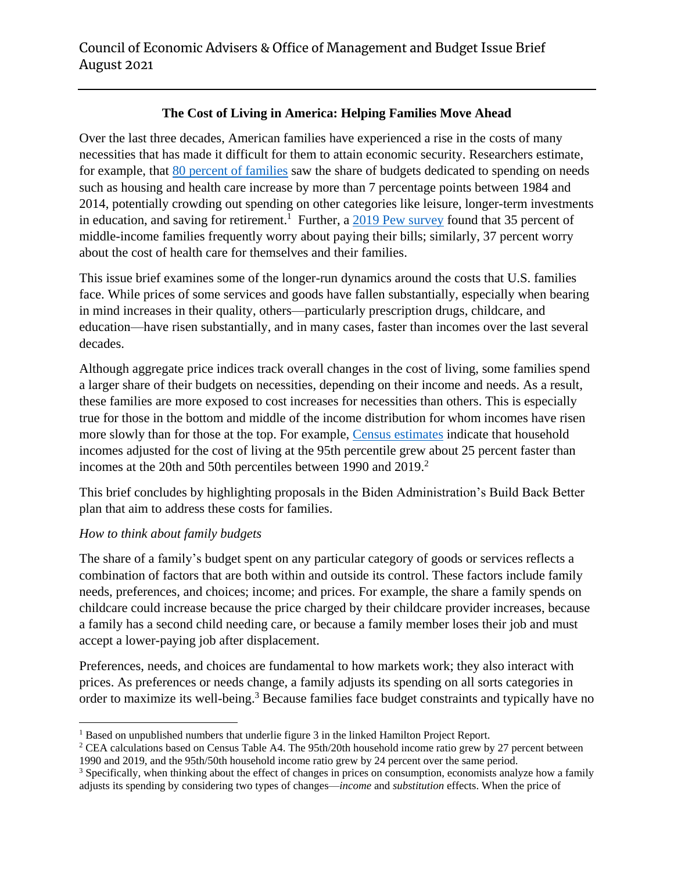# **The Cost of Living in America: Helping Families Move Ahead**

Over the last three decades, American families have experienced a rise in the costs of many necessities that has made it difficult for them to attain economic security. Researchers estimate, for example, that [80 percent of families](https://www.hamiltonproject.org/papers/where_does_all_the_money_go_shifts_in_household_spending_over_the_past_30_y) saw the share of budgets dedicated to spending on needs such as housing and health care increase by more than 7 percentage points between 1984 and 2014, potentially crowding out spending on other categories like leisure, longer-term investments in education, and saving for retirement.<sup>1</sup> Further, a  $\frac{2019 \text{ Pew survey}}{2019 \text{ Pew survey}}$  found that 35 percent of middle-income families frequently worry about paying their bills; similarly, 37 percent worry about the cost of health care for themselves and their families.

This issue brief examines some of the longer-run dynamics around the costs that U.S. families face. While prices of some services and goods have fallen substantially, especially when bearing in mind increases in their quality, others—particularly prescription drugs, childcare, and education—have risen substantially, and in many cases, faster than incomes over the last several decades.

Although aggregate price indices track overall changes in the cost of living, some families spend a larger share of their budgets on necessities, depending on their income and needs. As a result, these families are more exposed to cost increases for necessities than others. This is especially true for those in the bottom and middle of the income distribution for whom incomes have risen more slowly than for those at the top. For example, [Census estimates](https://www.census.gov/library/publications/2020/demo/p60-270.html) indicate that household incomes adjusted for the cost of living at the 95th percentile grew about 25 percent faster than incomes at the 20th and 50th percentiles between 1990 and 2019.<sup>2</sup>

This brief concludes by highlighting proposals in the Biden Administration's Build Back Better plan that aim to address these costs for families.

## *How to think about family budgets*

 $\overline{a}$ 

The share of a family's budget spent on any particular category of goods or services reflects a combination of factors that are both within and outside its control. These factors include family needs, preferences, and choices; income; and prices. For example, the share a family spends on childcare could increase because the price charged by their childcare provider increases, because a family has a second child needing care, or because a family member loses their job and must accept a lower-paying job after displacement.

Preferences, needs, and choices are fundamental to how markets work; they also interact with prices. As preferences or needs change, a family adjusts its spending on all sorts categories in order to maximize its well-being.<sup>3</sup> Because families face budget constraints and typically have no

<sup>&</sup>lt;sup>1</sup> Based on unpublished numbers that underlie figure 3 in the linked Hamilton Project Report.

<sup>&</sup>lt;sup>2</sup> CEA calculations based on Census Table A4. The 95th/20th household income ratio grew by 27 percent between 1990 and 2019, and the 95th/50th household income ratio grew by 24 percent over the same period.

<sup>&</sup>lt;sup>3</sup> Specifically, when thinking about the effect of changes in prices on consumption, economists analyze how a family adjusts its spending by considering two types of changes—*income* and *substitution* effects. When the price of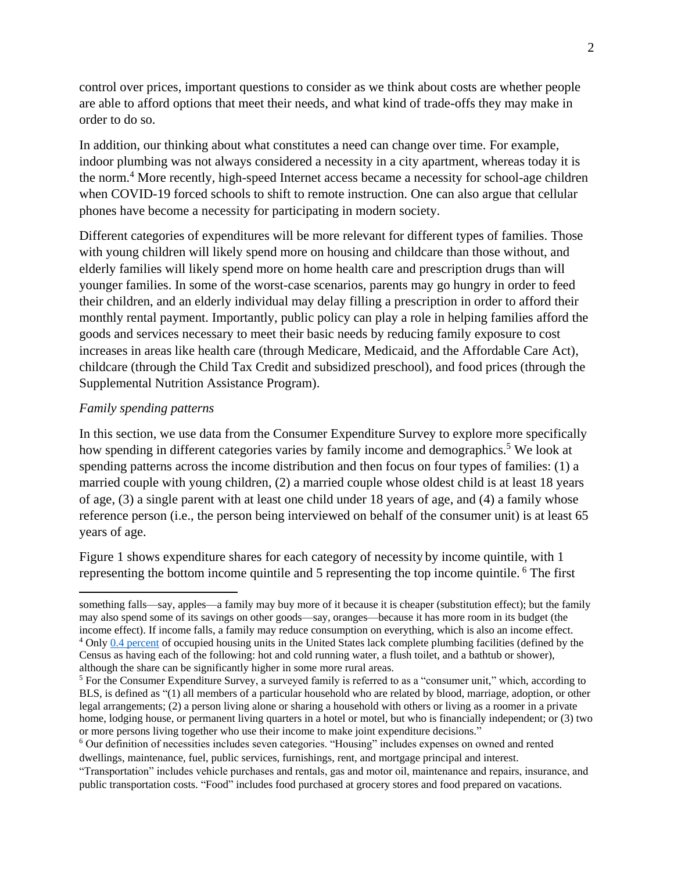control over prices, important questions to consider as we think about costs are whether people are able to afford options that meet their needs, and what kind of trade-offs they may make in order to do so.

In addition, our thinking about what constitutes a need can change over time. For example, indoor plumbing was not always considered a necessity in a city apartment, whereas today it is the norm.<sup>4</sup> More recently, high-speed Internet access became a necessity for school-age children when COVID-19 forced schools to shift to remote instruction. One can also argue that cellular phones have become a necessity for participating in modern society.

Different categories of expenditures will be more relevant for different types of families. Those with young children will likely spend more on housing and childcare than those without, and elderly families will likely spend more on home health care and prescription drugs than will younger families. In some of the worst-case scenarios, parents may go hungry in order to feed their children, and an elderly individual may delay filling a prescription in order to afford their monthly rental payment. Importantly, public policy can play a role in helping families afford the goods and services necessary to meet their basic needs by reducing family exposure to cost increases in areas like health care (through Medicare, Medicaid, and the Affordable Care Act), childcare (through the Child Tax Credit and subsidized preschool), and food prices (through the Supplemental Nutrition Assistance Program).

#### *Family spending patterns*

 $\overline{a}$ 

In this section, we use data from the Consumer Expenditure Survey to explore more specifically how spending in different categories varies by family income and demographics.<sup>5</sup> We look at spending patterns across the income distribution and then focus on four types of families: (1) a married couple with young children, (2) a married couple whose oldest child is at least 18 years of age, (3) a single parent with at least one child under 18 years of age, and (4) a family whose reference person (i.e., the person being interviewed on behalf of the consumer unit) is at least 65 years of age.

Figure 1 shows expenditure shares for each category of necessity by income quintile, with 1 representing the bottom income quintile and 5 representing the top income quintile. <sup>6</sup> The first

something falls—say, apples—a family may buy more of it because it is cheaper (substitution effect); but the family may also spend some of its savings on other goods—say, oranges—because it has more room in its budget (the income effect). If income falls, a family may reduce consumption on everything, which is also an income effect. <sup>4</sup> Only [0.4 percent](https://www.census.gov/acs/www/about/why-we-ask-each-question/plumbing/) of occupied housing units in the United States lack complete plumbing facilities (defined by the Census as having each of the following: hot and cold running water, a flush toilet, and a bathtub or shower), although the share can be significantly higher in some more rural areas.

<sup>5</sup> For the Consumer Expenditure Survey, a surveyed family is referred to as a "consumer unit," which, according to BLS, is defined as "(1) all members of a particular household who are related by blood, marriage, adoption, or other legal arrangements; (2) a person living alone or sharing a household with others or living as a roomer in a private home, lodging house, or permanent living quarters in a hotel or motel, but who is financially independent; or (3) two or more persons living together who use their income to make joint expenditure decisions."

<sup>&</sup>lt;sup>6</sup> Our definition of necessities includes seven categories. "Housing" includes expenses on owned and rented dwellings, maintenance, fuel, public services, furnishings, rent, and mortgage principal and interest.

<sup>&</sup>quot;Transportation" includes vehicle purchases and rentals, gas and motor oil, maintenance and repairs, insurance, and public transportation costs. "Food" includes food purchased at grocery stores and food prepared on vacations.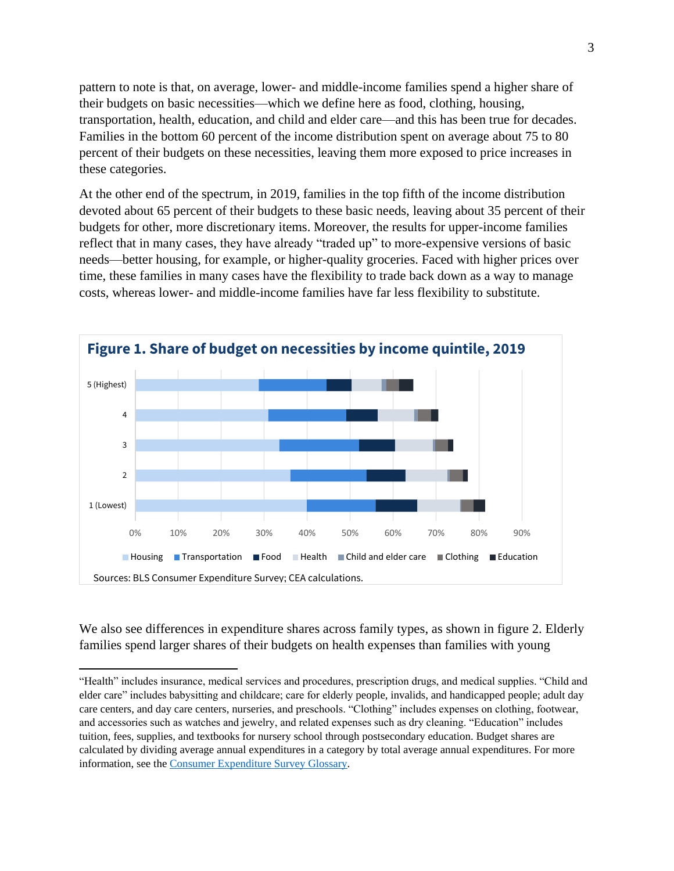pattern to note is that, on average, lower- and middle-income families spend a higher share of their budgets on basic necessities—which we define here as food, clothing, housing, transportation, health, education, and child and elder care—and this has been true for decades. Families in the bottom 60 percent of the income distribution spent on average about 75 to 80 percent of their budgets on these necessities, leaving them more exposed to price increases in these categories.

At the other end of the spectrum, in 2019, families in the top fifth of the income distribution devoted about 65 percent of their budgets to these basic needs, leaving about 35 percent of their budgets for other, more discretionary items. Moreover, the results for upper-income families reflect that in many cases, they have already "traded up" to more-expensive versions of basic needs—better housing, for example, or higher-quality groceries. Faced with higher prices over time, these families in many cases have the flexibility to trade back down as a way to manage costs, whereas lower- and middle-income families have far less flexibility to substitute.



We also see differences in expenditure shares across family types, as shown in figure 2. Elderly families spend larger shares of their budgets on health expenses than families with young

 $\overline{a}$ 

<sup>&</sup>quot;Health" includes insurance, medical services and procedures, prescription drugs, and medical supplies. "Child and elder care" includes babysitting and childcare; care for elderly people, invalids, and handicapped people; adult day care centers, and day care centers, nurseries, and preschools. "Clothing" includes expenses on clothing, footwear, and accessories such as watches and jewelry, and related expenses such as dry cleaning. "Education" includes tuition, fees, supplies, and textbooks for nursery school through postsecondary education. Budget shares are calculated by dividing average annual expenditures in a category by total average annual expenditures. For more information, see the [Consumer Expenditure Survey Glossary.](https://www.bls.gov/cex/csxgloss.htm)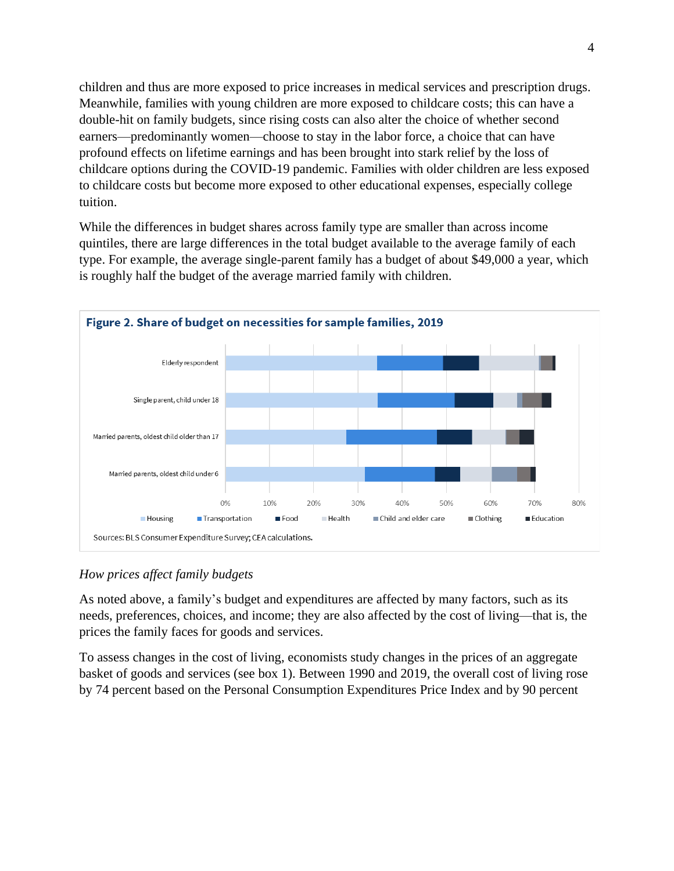children and thus are more exposed to price increases in medical services and prescription drugs. Meanwhile, families with young children are more exposed to childcare costs; this can have a double-hit on family budgets, since rising costs can also alter the choice of whether second earners—predominantly women—choose to stay in the labor force, a choice that can have profound effects on lifetime earnings and has been brought into stark relief by the loss of childcare options during the COVID-19 pandemic. Families with older children are less exposed to childcare costs but become more exposed to other educational expenses, especially college tuition.

While the differences in budget shares across family type are smaller than across income quintiles, there are large differences in the total budget available to the average family of each type. For example, the average single-parent family has a budget of about \$49,000 a year, which is roughly half the budget of the average married family with children.



*How prices affect family budgets*

As noted above, a family's budget and expenditures are affected by many factors, such as its needs, preferences, choices, and income; they are also affected by the cost of living—that is, the prices the family faces for goods and services.

To assess changes in the cost of living, economists study changes in the prices of an aggregate basket of goods and services (see box 1). Between 1990 and 2019, the overall cost of living rose by 74 percent based on the Personal Consumption Expenditures Price Index and by 90 percent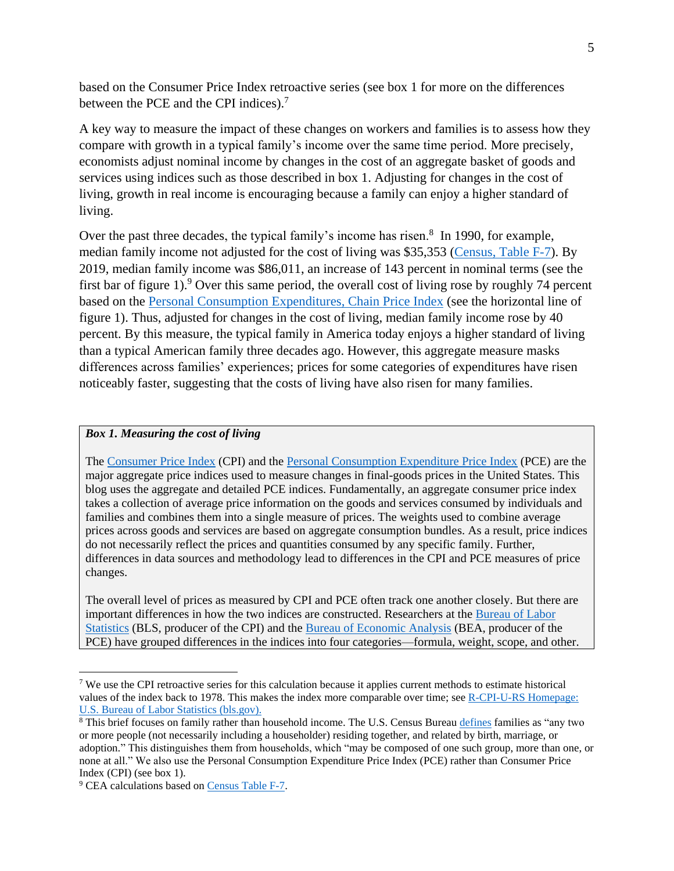based on the Consumer Price Index retroactive series (see box 1 for more on the differences between the PCE and the CPI indices).<sup>7</sup>

A key way to measure the impact of these changes on workers and families is to assess how they compare with growth in a typical family's income over the same time period. More precisely, economists adjust nominal income by changes in the cost of an aggregate basket of goods and services using indices such as those described in box 1. Adjusting for changes in the cost of living, growth in real income is encouraging because a family can enjoy a higher standard of living.

Over the past three decades, the typical family's income has risen.<sup>8</sup> In 1990, for example, median family income not adjusted for the cost of living was \$35,353 [\(Census, Table F-7\)](https://www.census.gov/data/tables/time-series/demo/income-poverty/historical-income-families.html). By 2019, median family income was \$86,011, an increase of 143 percent in nominal terms (see the first bar of figure 1).<sup>9</sup> Over this same period, the overall cost of living rose by roughly 74 percent based on the [Personal Consumption Expenditures, Chain Price Index](https://www.bea.gov/data/personal-consumption-expenditures-price-index) (see the horizontal line of figure 1). Thus, adjusted for changes in the cost of living, median family income rose by 40 percent. By this measure, the typical family in America today enjoys a higher standard of living than a typical American family three decades ago. However, this aggregate measure masks differences across families' experiences; prices for some categories of expenditures have risen noticeably faster, suggesting that the costs of living have also risen for many families.

## *Box 1. Measuring the cost of living*

The [Consumer Price Index](https://www.bls.gov/cpi/overview.htm) (CPI) and the [Personal Consumption Expenditure Price Index](https://www.bea.gov/data/personal-consumption-expenditures-price-index) (PCE) are the major aggregate price indices used to measure changes in final-goods prices in the United States. This blog uses the aggregate and detailed PCE indices. Fundamentally, an aggregate consumer price index takes a collection of average price information on the goods and services consumed by individuals and families and combines them into a single measure of prices. The weights used to combine average prices across goods and services are based on aggregate consumption bundles. As a result, price indices do not necessarily reflect the prices and quantities consumed by any specific family. Further, differences in data sources and methodology lead to differences in the CPI and PCE measures of price changes.

The overall level of prices as measured by CPI and PCE often track one another closely. But there are important differences in how the two indices are constructed. Researchers at the [Bureau of Labor](https://www.bls.gov/opub/btn/archive/differences-between-the-consumer-price-index-and-the-personal-consumption-expenditures-price-index.pdf)  [Statistics](https://www.bls.gov/opub/btn/archive/differences-between-the-consumer-price-index-and-the-personal-consumption-expenditures-price-index.pdf) (BLS, producer of the CPI) and the [Bureau of Economic Analysis](https://apps.bea.gov/scb/pdf/2007/11%20November/1107_cpipce.pdf) (BEA, producer of the PCE) have grouped differences in the indices into four categories—formula, weight, scope, and other.

 $\overline{a}$ 

<sup>7</sup> We use the CPI retroactive series for this calculation because it applies current methods to estimate historical values of the index back to 1978. This makes the index more comparable over time; see [R-CPI-U-RS Homepage:](https://www.bls.gov/cpi/research-series/r-cpi-u-rs-home.htm)  [U.S. Bureau of Labor Statistics \(bls.gov\).](https://www.bls.gov/cpi/research-series/r-cpi-u-rs-home.htm)

<sup>8</sup> This brief focuses on family rather than household income. The U.S. Census Burea[u defines](https://www.census.gov/programs-surveys/cps/technical-documentation/subject-definitions.html#family) families as "any two or more people (not necessarily including a householder) residing together, and related by birth, marriage, or adoption." This distinguishes them from households, which "may be composed of one such group, more than one, or none at all." We also use the Personal Consumption Expenditure Price Index (PCE) rather than Consumer Price Index (CPI) (see box 1).

<sup>&</sup>lt;sup>9</sup> CEA calculations based on [Census Table F-7.](https://www.census.gov/data/tables/time-series/demo/income-poverty/historical-income-families.html)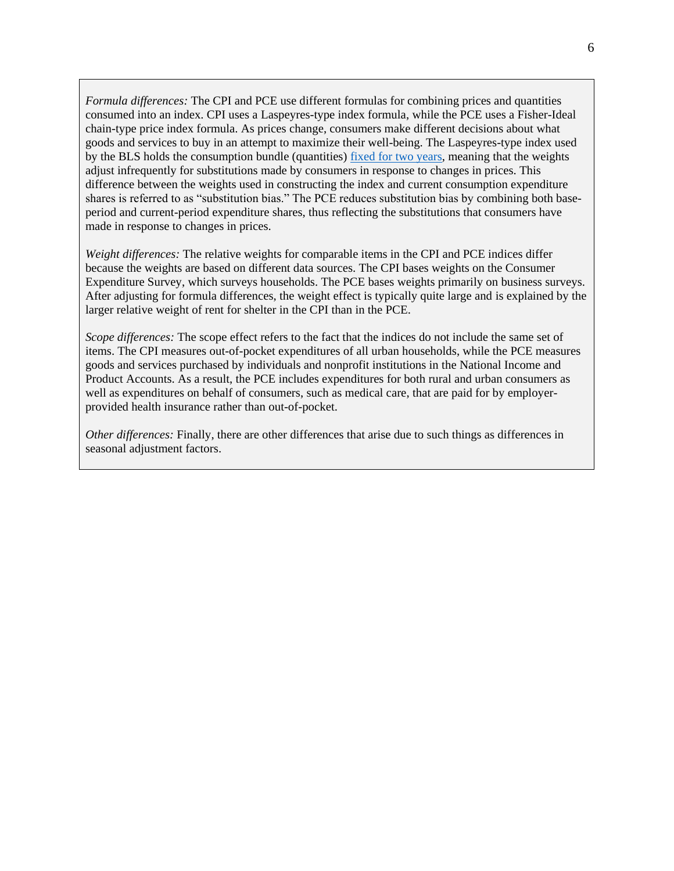*Formula differences:* The CPI and PCE use different formulas for combining prices and quantities consumed into an index. CPI uses a Laspeyres-type index formula, while the PCE uses a Fisher-Ideal chain-type price index formula. As prices change, consumers make different decisions about what goods and services to buy in an attempt to maximize their well-being. The Laspeyres-type index used by the BLS holds the consumption bundle (quantities) [fixed for two years,](file:///C:/Users/LBarrow/Work%20Folders/Documents/Costs/The%20Consumer%20Price%20Index:%20A%20Brief%20Overview%20-%20EveryCRSReport.com) meaning that the weights adjust infrequently for substitutions made by consumers in response to changes in prices. This difference between the weights used in constructing the index and current consumption expenditure shares is referred to as "substitution bias." The PCE reduces substitution bias by combining both baseperiod and current-period expenditure shares, thus reflecting the substitutions that consumers have made in response to changes in prices.

*Weight differences:* The relative weights for comparable items in the CPI and PCE indices differ because the weights are based on different data sources. The CPI bases weights on the Consumer Expenditure Survey, which surveys households. The PCE bases weights primarily on business surveys. After adjusting for formula differences, the weight effect is typically quite large and is explained by the larger relative weight of rent for shelter in the CPI than in the PCE.

*Scope differences:* The scope effect refers to the fact that the indices do not include the same set of items. The CPI measures out-of-pocket expenditures of all urban households, while the PCE measures goods and services purchased by individuals and nonprofit institutions in the National Income and Product Accounts. As a result, the PCE includes expenditures for both rural and urban consumers as well as expenditures on behalf of consumers, such as medical care, that are paid for by employerprovided health insurance rather than out-of-pocket.

*Other differences:* Finally, there are other differences that arise due to such things as differences in seasonal adjustment factors.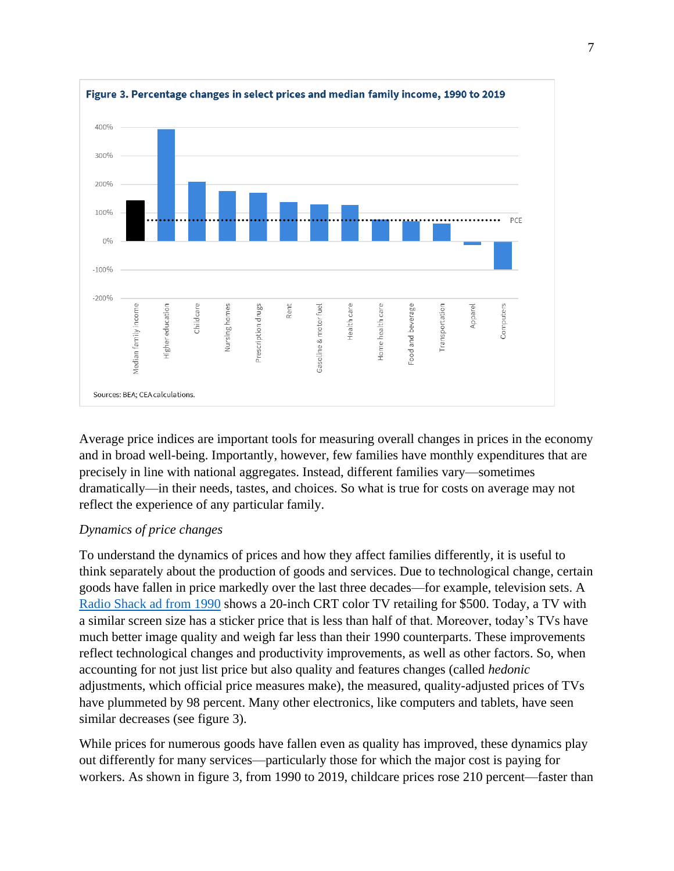

Average price indices are important tools for measuring overall changes in prices in the economy and in broad well-being. Importantly, however, few families have monthly expenditures that are precisely in line with national aggregates. Instead, different families vary—sometimes dramatically—in their needs, tastes, and choices. So what is true for costs on average may not reflect the experience of any particular family.

## *Dynamics of price changes*

To understand the dynamics of prices and how they affect families differently, it is useful to think separately about the production of goods and services. Due to technological change, certain goods have fallen in price markedly over the last three decades—for example, television sets. A [Radio Shack ad from 1990](http://pdf.textfiles.com/catalogs/RADIOSHACK) shows a 20-inch CRT color TV retailing for \$500. Today, a TV with a similar screen size has a sticker price that is less than half of that. Moreover, today's TVs have much better image quality and weigh far less than their 1990 counterparts. These improvements reflect technological changes and productivity improvements, as well as other factors. So, when accounting for not just list price but also quality and features changes (called *hedonic*  adjustments, which official price measures make), the measured, quality-adjusted prices of TVs have plummeted by 98 percent. Many other electronics, like computers and tablets, have seen similar decreases (see figure 3).

While prices for numerous goods have fallen even as quality has improved, these dynamics play out differently for many services—particularly those for which the major cost is paying for workers. As shown in figure 3, from 1990 to 2019, childcare prices rose 210 percent—faster than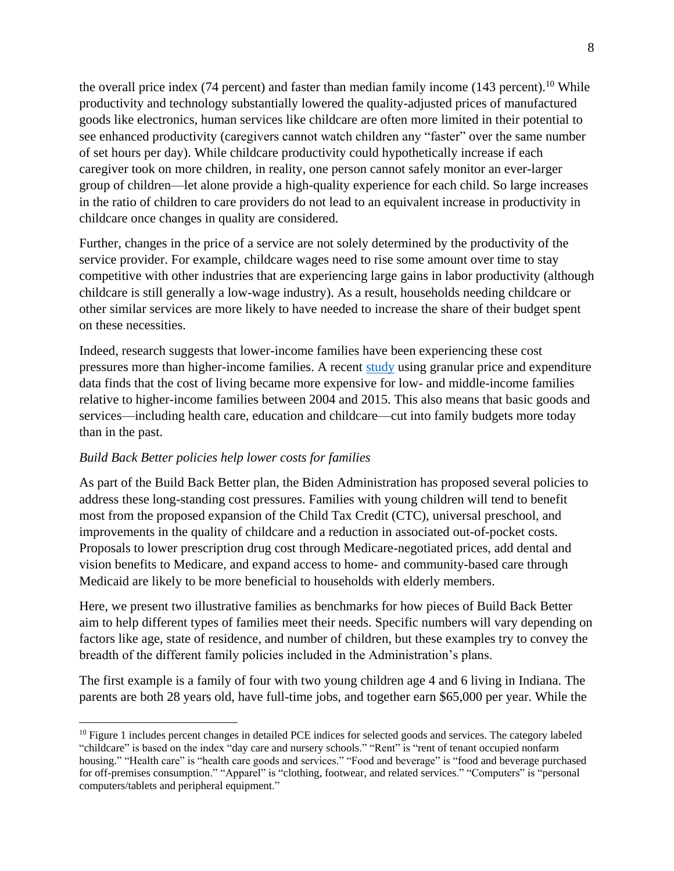the overall price index (74 percent) and faster than median family income (143 percent).<sup>10</sup> While productivity and technology substantially lowered the quality-adjusted prices of manufactured goods like electronics, human services like childcare are often more limited in their potential to see enhanced productivity (caregivers cannot watch children any "faster" over the same number of set hours per day). While childcare productivity could hypothetically increase if each caregiver took on more children, in reality, one person cannot safely monitor an ever-larger group of children—let alone provide a high-quality experience for each child. So large increases in the ratio of children to care providers do not lead to an equivalent increase in productivity in childcare once changes in quality are considered.

Further, changes in the price of a service are not solely determined by the productivity of the service provider. For example, childcare wages need to rise some amount over time to stay competitive with other industries that are experiencing large gains in labor productivity (although childcare is still generally a low-wage industry). As a result, households needing childcare or other similar services are more likely to have needed to increase the share of their budget spent on these necessities.

Indeed, research suggests that lower-income families have been experiencing these cost pressures more than higher-income families. A recent [study](https://6cd96a90-e111-4c99-bb2c-0fdc17ec7c2d.filesusr.com/ugd/bacd2d_588e10b4c3bb4bb9a61bcb4f0ac21761.pdf) using granular price and expenditure data finds that the cost of living became more expensive for low- and middle-income families relative to higher-income families between 2004 and 2015. This also means that basic goods and services—including health care, education and childcare—cut into family budgets more today than in the past.

## *Build Back Better policies help lower costs for families*

 $\overline{a}$ 

As part of the Build Back Better plan, the Biden Administration has proposed several policies to address these long-standing cost pressures. Families with young children will tend to benefit most from the proposed expansion of the Child Tax Credit (CTC), universal preschool, and improvements in the quality of childcare and a reduction in associated out-of-pocket costs. Proposals to lower prescription drug cost through Medicare-negotiated prices, add dental and vision benefits to Medicare, and expand access to home- and community-based care through Medicaid are likely to be more beneficial to households with elderly members.

Here, we present two illustrative families as benchmarks for how pieces of Build Back Better aim to help different types of families meet their needs. Specific numbers will vary depending on factors like age, state of residence, and number of children, but these examples try to convey the breadth of the different family policies included in the Administration's plans.

The first example is a family of four with two young children age 4 and 6 living in Indiana. The parents are both 28 years old, have full-time jobs, and together earn \$65,000 per year. While the

<sup>&</sup>lt;sup>10</sup> Figure 1 includes percent changes in detailed PCE indices for selected goods and services. The category labeled "childcare" is based on the index "day care and nursery schools." "Rent" is "rent of tenant occupied nonfarm housing." "Health care" is "health care goods and services." "Food and beverage" is "food and beverage purchased for off-premises consumption." "Apparel" is "clothing, footwear, and related services." "Computers" is "personal computers/tablets and peripheral equipment."